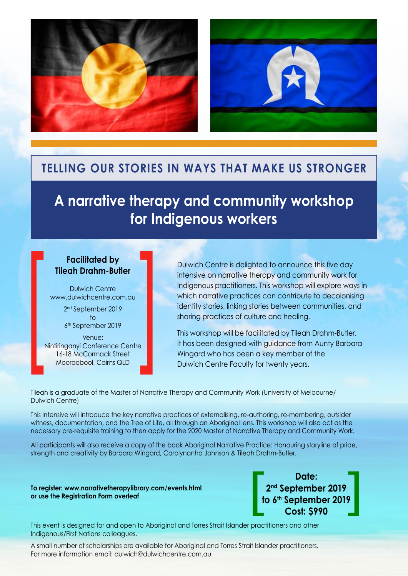



## **Telling our stories in ways that make us stronger**

# **A narrative therapy and community workshop for Indigenous workers**

#### **Facilitated by Tileah Drahm-Butler**

Dulwich Centre [www.dulwichcentre.com.au](www.dulwichcentre.com.au ) 2nd September 2019 to 6th September 2019 Venue: Nintiringanyi Conference Centre 16-18 McCormack Street Mooroobool, Cairns QLD Facilitated by<br>
Tileah Drahm-Butler<br>
Dulwich Centre<br>
WW.dulwichcentre.com.au<br>
2<sup>nd</sup> September 2019<br>
to<br>
6<sup>th</sup> September 2019<br>
Venue:<br>
Nintiringanyi Conference Centre<br>
16-18 McCormack Street<br>
Mooroobool, Cairns QLD

Dulwich Centre is delighted to announce this five day intensive on narrative therapy and community work for Indigenous practitioners. This workshop will explore ways in which narrative practices can contribute to decolonising identity stories, linking stories between communities, and sharing practices of culture and healing.

This workshop will be facilitated by Tileah Drahm-Butler. It has been designed with guidance from Aunty Barbara Wingard who has been a key member of the Dulwich Centre Faculty for twenty years.

Tileah is a graduate of the Master of Narrative Therapy and Community Work (University of Melbourne/ Dulwich Centre)

This intensive will introduce the key narrative practices of externalising, re-authoring, re-membering, outsider witness, documentation, and the Tree of Life, all through an Aboriginal lens. This workshop will also act as the necessary pre-requisite training to then apply for the 2020 Master of Narrative Therapy and Community Work.

All participants will also receive a copy of the book Aboriginal Narrative Practice: Honouring storyline of pride, strength and creativity by Barbara Wingard, Carolynanha Johnson & Tileah Drahm-Butler.

**To register:<www.narrativetherapylibrary.com/events.html> or use the Registration Form overleaf**

**Date: 2nd September 2019 to 6th September 2019** Date:<br>
2<sup>nd</sup> September 2019<br>
to 6<sup>th</sup> September 2019<br>
Cost: \$990

This event is designed for and open to Aboriginal and Torres Strait Islander practitioners and other Indigenous/First Nations colleagues.

A small number of scholarships are available for Aboriginal and Torres Strait Islander practitioners. For more information email: [dulwich@dulwichcentre.com.au](mailto:dulwich%40dulwichcentre.com.au?subject=Aboriginal%20and%20Torres%20Strait%20Islander%20practitioner%20scholarships)